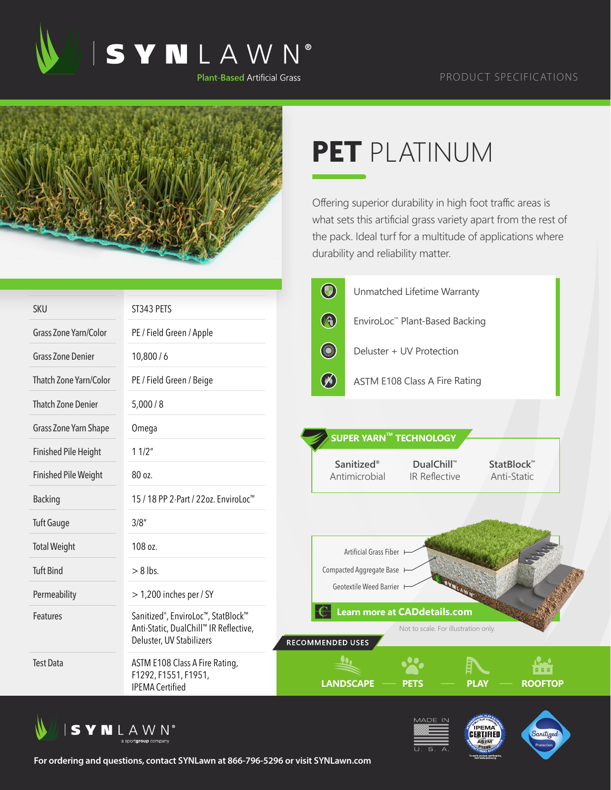



## **PET** PLATINUM

Offering superior durability in high foot traffic areas is what sets this artificial grass variety apart from the rest of the pack. Ideal turf for a multitude of applications where durability and reliability matter.

|                              |                                                                                                                       | $\bigcirc$<br>Unmatched Lifetime Warranty                                                             |
|------------------------------|-----------------------------------------------------------------------------------------------------------------------|-------------------------------------------------------------------------------------------------------|
| <b>SKU</b>                   | ST343 PETS                                                                                                            |                                                                                                       |
| <b>Grass Zone Yarn/Color</b> | PE / Field Green / Apple                                                                                              | $\bigcirc$<br>EnviroLoc™ Plant-Based Backing                                                          |
| <b>Grass Zone Denier</b>     | 10,800/6                                                                                                              | <b>College College College College College College</b><br>Deluster + UV Protection                    |
| Thatch Zone Yarn/Color       | PE / Field Green / Beige                                                                                              | $\circledast$<br><b>ASTM E108 Class A Fire Rating</b>                                                 |
| <b>Thatch Zone Denier</b>    | 5,000/8                                                                                                               |                                                                                                       |
| Grass Zone Yarn Shape        | Omega                                                                                                                 |                                                                                                       |
| <b>Finished Pile Height</b>  | 11/2"                                                                                                                 | SUPER YARN™ TECHNOLOGY                                                                                |
| <b>Finished Pile Weight</b>  | 80 oz.                                                                                                                | <b>Sanitized®</b><br><b>DualChill™</b><br>StatBlock™<br>Antimicrobial<br>IR Reflective<br>Anti-Static |
| <b>Backing</b>               | 15 / 18 PP 2-Part / 22oz. EnviroLoc <sup>™</sup>                                                                      |                                                                                                       |
| <b>Tuft Gauge</b>            | 3/8''                                                                                                                 |                                                                                                       |
| <b>Total Weight</b>          | 108 oz.                                                                                                               | Artificial Grass Fiber                                                                                |
| <b>Tuft Bind</b>             | $> 8$ lbs.                                                                                                            | Compacted Aggregate Base                                                                              |
| Permeability                 | $>$ 1,200 inches per / SY                                                                                             | Geotextile Weed Barrier                                                                               |
| Features                     | Sanitized <sup>®</sup> , EnviroLoc™, StatBlock™<br>Anti-Static, DualChill™ IR Reflective,<br>Deluster, UV Stabilizers | <b>Learn more at CADdetails.com</b><br>Not to scale. For illustration only.<br>RECOMMENDED USES       |
| <b>Test Data</b>             | ASTM E108 Class A Fire Rating,<br>F1292, F1551, F1951,<br><b>IPEMA Certified</b>                                      | V.A<br>■■■■<br><b>LANDSCAPE</b><br><b>PLAY</b><br><b>ROOFTOP</b><br><b>PETS</b>                       |







**For ordering and questions, contact SYNLawn at 866-796-5296 or visit SYNLawn.com**